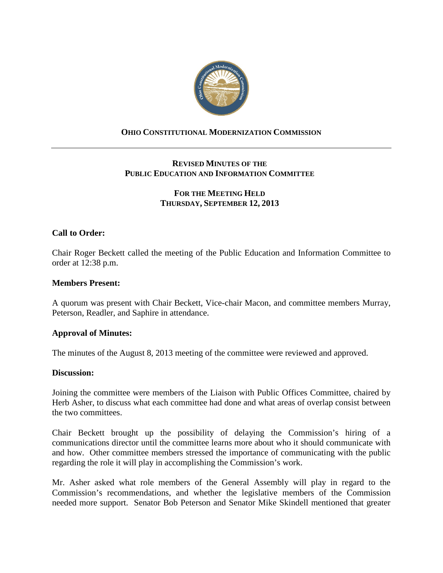

# **OHIO CONSTITUTIONAL MODERNIZATION COMMISSION**

# **REVISED MINUTES OF THE PUBLIC EDUCATION AND INFORMATION COMMITTEE**

# **FOR THE MEETING HELD THURSDAY, SEPTEMBER 12, 2013**

# **Call to Order:**

Chair Roger Beckett called the meeting of the Public Education and Information Committee to order at 12:38 p.m.

### **Members Present:**

A quorum was present with Chair Beckett, Vice-chair Macon, and committee members Murray, Peterson, Readler, and Saphire in attendance.

### **Approval of Minutes:**

The minutes of the August 8, 2013 meeting of the committee were reviewed and approved.

### **Discussion:**

Joining the committee were members of the Liaison with Public Offices Committee, chaired by Herb Asher, to discuss what each committee had done and what areas of overlap consist between the two committees.

Chair Beckett brought up the possibility of delaying the Commission's hiring of a communications director until the committee learns more about who it should communicate with and how. Other committee members stressed the importance of communicating with the public regarding the role it will play in accomplishing the Commission's work.

Mr. Asher asked what role members of the General Assembly will play in regard to the Commission's recommendations, and whether the legislative members of the Commission needed more support. Senator Bob Peterson and Senator Mike Skindell mentioned that greater